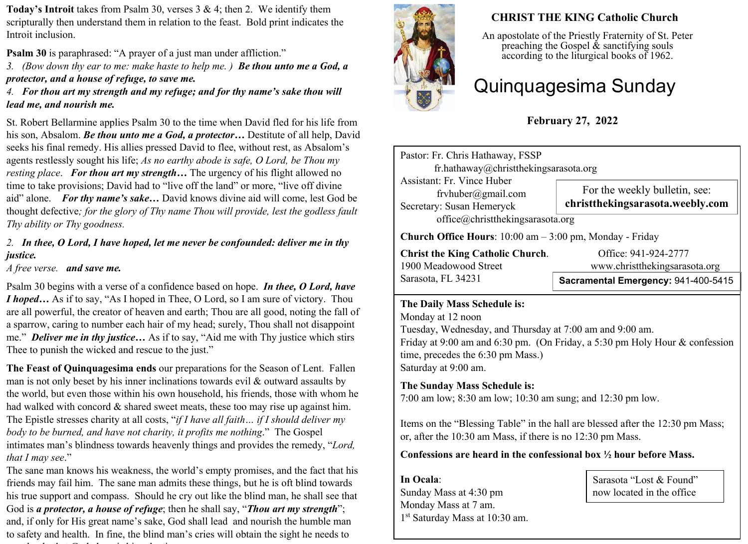**Today's Introit** takes from Psalm 30, verses 3 & 4; then 2. We identify them scripturally then understand them in relation to the feast. Bold print indicates the Introit inclusion.

**Psalm 30** is paraphrased: "A prayer of a just man under affliction."

*3. (Bow down thy ear to me: make haste to help me. ) Be thou unto me a God, a protector, and a house of refuge, to save me.*

*4. For thou art my strength and my refuge; and for thy name's sake thou will lead me, and nourish me.*

St. Robert Bellarmine applies Psalm 30 to the time when David fled for his life from his son, Absalom. *Be thou unto me a God, a protector…* Destitute of all help, David seeks his final remedy. His allies pressed David to flee, without rest, as Absalom's agents restlessly sought his life; *As no earthy abode is safe, O Lord, be Thou my resting place*. *For thou art my strength…* The urgency of his flight allowed no time to take provisions; David had to "live off the land" or more, "live off divine aid" alone. *For thy name's sake…* David knows divine aid will come, lest God be thought defective*; for the glory of Thy name Thou will provide, lest the godless fault Thy ability or Thy goodness.*

# *2. In thee, O Lord, I have hoped, let me never be confounded: deliver me in thy justice.*

*A free verse. and save me.*

Psalm 30 begins with a verse of a confidence based on hope. *In thee, O Lord, have I hoped*... As if to say, "As I hoped in Thee, O Lord, so I am sure of victory. Thou are all powerful, the creator of heaven and earth; Thou are all good, noting the fall of a sparrow, caring to number each hair of my head; surely, Thou shall not disappoint me." *Deliver me in thy justice…* As if to say, "Aid me with Thy justice which stirs Thee to punish the wicked and rescue to the just."

**The Feast of Quinquagesima ends** our preparations for the Season of Lent. Fallen man is not only beset by his inner inclinations towards evil  $\&$  outward assaults by the world, but even those within his own household, his friends, those with whom he had walked with concord & shared sweet meats, these too may rise up against him. The Epistle stresses charity at all costs, "*if I have all faith… if I should deliver my body to be burned, and have not charity, it profits me nothing*." The Gospel intimates man's blindness towards heavenly things and provides the remedy, "*Lord, that I may see*."

The sane man knows his weakness, the world's empty promises, and the fact that his friends may fail him. The sane man admits these things, but he is oft blind towards his true support and compass. Should he cry out like the blind man, he shall see that God is *a protector, a house of refuge*; then he shall say, "*Thou art my strength*"; and, if only for His great name's sake, God shall lead and nourish the humble man to safety and health. In fine, the blind man's cries will obtain the sight he needs to see clearly that God alone is his salvation.



# **CHRIST THE KING Catholic Church**

An apostolate of the Priestly Fraternity of St. Peter preaching the Gospel  $\&$  sanctifying souls according to the liturgical books of 1962.

# Quinquagesima Sunday

**February 27, 2022**

| Pastor: Fr. Chris Hathaway, FSSP<br>fr.hathaway@christthekingsarasota.org     |                                                                   |  |  |  |
|-------------------------------------------------------------------------------|-------------------------------------------------------------------|--|--|--|
| Assistant: Fr. Vince Huber<br>fryhuber@gmail.com<br>Secretary: Susan Hemeryck | For the weekly bulletin, see:<br>christthekingsarasota.weebly.com |  |  |  |
| office@christthekingsarasota.org                                              |                                                                   |  |  |  |
| Church Office Hours: 10:00 am - 3:00 pm, Monday - Friday                      |                                                                   |  |  |  |
| <b>Christ the King Catholic Church.</b><br>1900 Meadowood Street              | Office: 941-924-2777<br>www.christthekingsarasota.org             |  |  |  |
| Sarasota, FL 34231                                                            | Sacramental Emergency: 941-400-5415                               |  |  |  |

#### **The Daily Mass Schedule is:**

Monday at 12 noon Tuesday, Wednesday, and Thursday at 7:00 am and 9:00 am. Friday at 9:00 am and 6:30 pm. (On Friday, a 5:30 pm Holy Hour & confession time, precedes the 6:30 pm Mass.) Saturday at 9:00 am.

# **The Sunday Mass Schedule is:**

7:00 am low; 8:30 am low; 10:30 am sung; and 12:30 pm low.

Items on the "Blessing Table" in the hall are blessed after the 12:30 pm Mass; or, after the 10:30 am Mass, if there is no 12:30 pm Mass.

**Confessions are heard in the confessional box ½ hour before Mass.** 

**In Ocala**: Sunday Mass at 4:30 pm Monday Mass at 7 am. 1 st Saturday Mass at 10:30 am.

Sarasota "Lost & Found" now located in the office